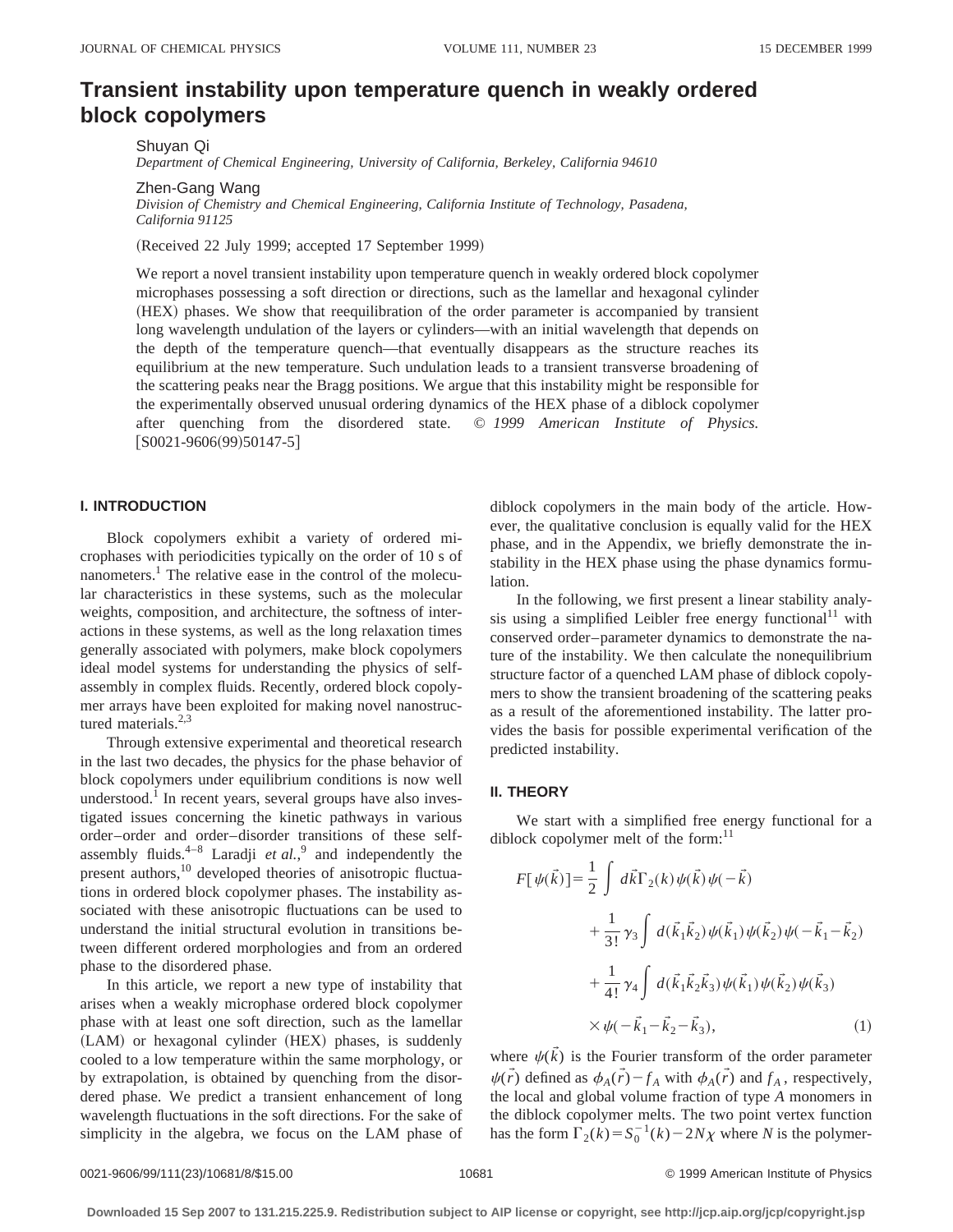# **Transient instability upon temperature quench in weakly ordered block copolymers**

Shuyan Qi *Department of Chemical Engineering, University of California, Berkeley, California 94610*

Zhen-Gang Wang

*Division of Chemistry and Chemical Engineering, California Institute of Technology, Pasadena, California 91125*

(Received 22 July 1999; accepted 17 September 1999)

We report a novel transient instability upon temperature quench in weakly ordered block copolymer microphases possessing a soft direction or directions, such as the lamellar and hexagonal cylinder ~HEX! phases. We show that reequilibration of the order parameter is accompanied by transient long wavelength undulation of the layers or cylinders—with an initial wavelength that depends on the depth of the temperature quench—that eventually disappears as the structure reaches its equilibrium at the new temperature. Such undulation leads to a transient transverse broadening of the scattering peaks near the Bragg positions. We argue that this instability might be responsible for the experimentally observed unusual ordering dynamics of the HEX phase of a diblock copolymer after quenching from the disordered state. © *1999 American Institute of Physics.*  $[$ S0021-9606(99)50147-5 $]$ 

# **I. INTRODUCTION**

Block copolymers exhibit a variety of ordered microphases with periodicities typically on the order of 10 s of nanometers.<sup>1</sup> The relative ease in the control of the molecular characteristics in these systems, such as the molecular weights, composition, and architecture, the softness of interactions in these systems, as well as the long relaxation times generally associated with polymers, make block copolymers ideal model systems for understanding the physics of selfassembly in complex fluids. Recently, ordered block copolymer arrays have been exploited for making novel nanostructured materials. $2,3$ 

Through extensive experimental and theoretical research in the last two decades, the physics for the phase behavior of block copolymers under equilibrium conditions is now well understood.<sup>1</sup> In recent years, several groups have also investigated issues concerning the kinetic pathways in various order–order and order–disorder transitions of these selfassembly fluids. $4-8$  Laradji *et al.*,<sup>9</sup> and independently the present authors,<sup>10</sup> developed theories of anisotropic fluctuations in ordered block copolymer phases. The instability associated with these anisotropic fluctuations can be used to understand the initial structural evolution in transitions between different ordered morphologies and from an ordered phase to the disordered phase.

In this article, we report a new type of instability that arises when a weakly microphase ordered block copolymer phase with at least one soft direction, such as the lamellar (LAM) or hexagonal cylinder (HEX) phases, is suddenly cooled to a low temperature within the same morphology, or by extrapolation, is obtained by quenching from the disordered phase. We predict a transient enhancement of long wavelength fluctuations in the soft directions. For the sake of simplicity in the algebra, we focus on the LAM phase of diblock copolymers in the main body of the article. However, the qualitative conclusion is equally valid for the HEX phase, and in the Appendix, we briefly demonstrate the instability in the HEX phase using the phase dynamics formulation.

In the following, we first present a linear stability analysis using a simplified Leibler free energy functional<sup>11</sup> with conserved order–parameter dynamics to demonstrate the nature of the instability. We then calculate the nonequilibrium structure factor of a quenched LAM phase of diblock copolymers to show the transient broadening of the scattering peaks as a result of the aforementioned instability. The latter provides the basis for possible experimental verification of the predicted instability.

### **II. THEORY**

We start with a simplified free energy functional for a diblock copolymer melt of the form: $11$ 

$$
F[\psi(\vec{k})] = \frac{1}{2} \int d\vec{k} \Gamma_2(k) \psi(\vec{k}) \psi(-\vec{k}) + \frac{1}{3!} \gamma_3 \int d(\vec{k}_1 \vec{k}_2) \psi(\vec{k}_1) \psi(\vec{k}_2) \psi(-\vec{k}_1 - \vec{k}_2) + \frac{1}{4!} \gamma_4 \int d(\vec{k}_1 \vec{k}_2 \vec{k}_3) \psi(\vec{k}_1) \psi(\vec{k}_2) \psi(\vec{k}_3) \times \psi(-\vec{k}_1 - \vec{k}_2 - \vec{k}_3), \tag{1}
$$

where  $\psi(\vec{k})$  is the Fourier transform of the order parameter  $\psi(\vec{r})$  defined as  $\phi_A(\vec{r}) - f_A$  with  $\phi_A(\vec{r})$  and  $f_A$ , respectively, the local and global volume fraction of type *A* monomers in the diblock copolymer melts. The two point vertex function has the form  $\Gamma_2(k) = S_0^{-1}(k) - 2N\chi$  where *N* is the polymer-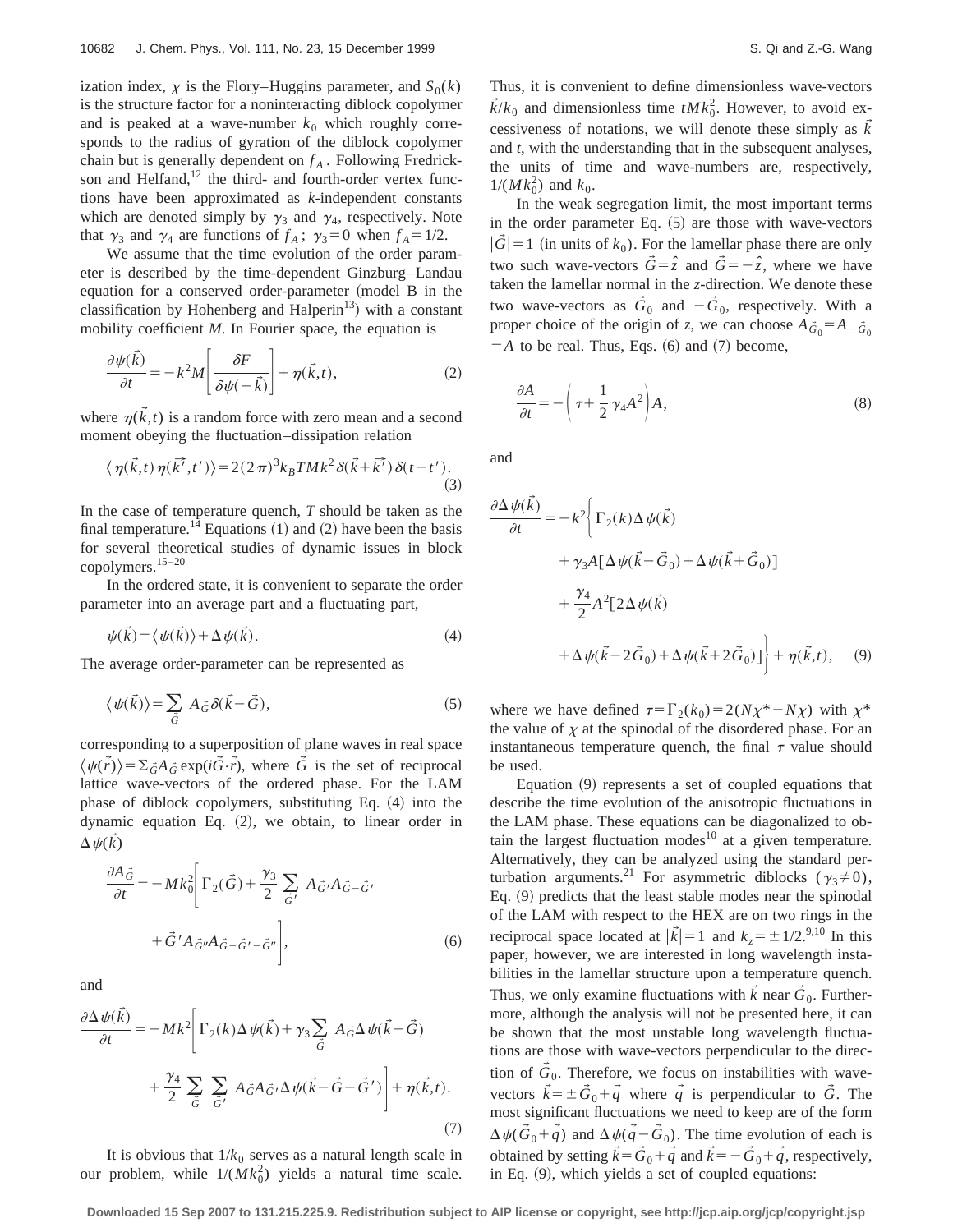ization index,  $\chi$  is the Flory–Huggins parameter, and  $S_0(k)$ is the structure factor for a noninteracting diblock copolymer and is peaked at a wave-number  $k_0$  which roughly corresponds to the radius of gyration of the diblock copolymer chain but is generally dependent on  $f_A$ . Following Fredrickson and Helfand, $12$  the third- and fourth-order vertex functions have been approximated as *k*-independent constants which are denoted simply by  $\gamma_3$  and  $\gamma_4$ , respectively. Note that  $\gamma_3$  and  $\gamma_4$  are functions of  $f_A$ ;  $\gamma_3 = 0$  when  $f_A = 1/2$ .

We assume that the time evolution of the order parameter is described by the time-dependent Ginzburg–Landau equation for a conserved order-parameter  $($ model B in the classification by Hohenberg and Halperin<sup>13</sup>) with a constant mobility coefficient *M*. In Fourier space, the equation is

$$
\frac{\partial \psi(\vec{k})}{\partial t} = -k^2 M \left[ \frac{\delta F}{\delta \psi(-\vec{k})} \right] + \eta(\vec{k}, t), \tag{2}
$$

where  $\eta(\tilde{k},t)$  is a random force with zero mean and a second moment obeying the fluctuation–dissipation relation

$$
\langle \eta(\vec{k},t)\,\eta(\vec{k'},t')\rangle = 2(2\,\pi)^3 k_B T M k^2 \delta(\vec{k}+\vec{k'})\,\delta(t-t').
$$
\n(3)

In the case of temperature quench, *T* should be taken as the final temperature.<sup>14</sup> Equations  $(1)$  and  $(2)$  have been the basis for several theoretical studies of dynamic issues in block copolymers.15–20

In the ordered state, it is convenient to separate the order parameter into an average part and a fluctuating part,

$$
\psi(\vec{k}) = \langle \psi(\vec{k}) \rangle + \Delta \psi(\vec{k}). \tag{4}
$$

The average order-parameter can be represented as

$$
\langle \psi(\vec{k}) \rangle = \sum_{\vec{G}} A_{\vec{G}} \delta(\vec{k} - \vec{G}), \tag{5}
$$

corresponding to a superposition of plane waves in real space  $\langle \psi(\vec{r}) \rangle = \sum_{\vec{G}} A_{\vec{G}} \exp(i\vec{G} \cdot \vec{r})$ , where  $\vec{G}$  is the set of reciprocal lattice wave-vectors of the ordered phase. For the LAM phase of diblock copolymers, substituting Eq.  $(4)$  into the dynamic equation Eq.  $(2)$ , we obtain, to linear order in  $\Delta \psi(k)$ 

$$
\frac{\partial A_{\vec{G}}}{\partial t} = -Mk_0^2 \left[ \Gamma_2(\vec{G}) + \frac{\gamma_3}{2} \sum_{\vec{G}'} A_{\vec{G}'} A_{\vec{G} - \vec{G}'}
$$

$$
+ \vec{G}' A_{\vec{G}''} A_{\vec{G} - \vec{G}'} - \vec{G}'' \right],
$$
(6)

and

$$
\frac{\partial \Delta \psi(\vec{k})}{\partial t} = -Mk^2 \bigg[ \Gamma_2(k) \Delta \psi(\vec{k}) + \gamma_3 \sum_{\vec{G}} A_{\vec{G}} \Delta \psi(\vec{k} - \vec{G})
$$

$$
+ \frac{\gamma_4}{2} \sum_{\vec{G}} \sum_{\vec{G'}} A_{\vec{G}} A_{\vec{G}} A_{\vec{G}} \Delta \psi(\vec{k} - \vec{G} - \vec{G'}) \bigg] + \eta(\vec{k}, t). \tag{7}
$$

It is obvious that  $1/k_0$  serves as a natural length scale in our problem, while  $1/(Mk_0^2)$  yields a natural time scale. Thus, it is convenient to define dimensionless wave-vectors  $\vec{k}/k_0$  and dimensionless time  $tMk_0^2$ . However, to avoid excessiveness of notations, we will denote these simply as  $\vec{k}$ and *t*, with the understanding that in the subsequent analyses, the units of time and wave-numbers are, respectively,  $1/(Mk_0^2)$  and  $k_0$ .

In the weak segregation limit, the most important terms in the order parameter Eq.  $(5)$  are those with wave-vectors  $|\tilde{G}| = 1$  (in units of  $k_0$ ). For the lamellar phase there are only two such wave-vectors  $\vec{G} = \hat{z}$  and  $\vec{G} = -\hat{z}$ , where we have taken the lamellar normal in the *z*-direction. We denote these two wave-vectors as  $\vec{G}_0$  and  $-\vec{G}_0$ , respectively. With a proper choice of the origin of *z*, we can choose  $A\ddot{\epsilon}_0 = A_{\dot{-}}\ddot{\epsilon}_0$  $=$ *A* to be real. Thus, Eqs.  $(6)$  and  $(7)$  become,

$$
\frac{\partial A}{\partial t} = -\left(\tau + \frac{1}{2}\gamma_4 A^2\right) A,\tag{8}
$$

and

$$
\frac{\partial \Delta \psi(\vec{k})}{\partial t} = -k^2 \bigg\{ \Gamma_2(k) \Delta \psi(\vec{k})
$$
  
+  $\gamma_3 A [\Delta \psi(\vec{k} - \vec{G}_0) + \Delta \psi(\vec{k} + \vec{G}_0)]$   
+  $\frac{\gamma_4}{2} A^2 [2 \Delta \psi(\vec{k})$   
+  $\Delta \psi(\vec{k} - 2\vec{G}_0) + \Delta \psi(\vec{k} + 2\vec{G}_0)] \bigg\} + \eta(\vec{k}, t),$  (9)

where we have defined  $\tau=\Gamma_2(k_0)=2(N\chi^*-N\chi)$  with  $\chi^*$ the value of  $\chi$  at the spinodal of the disordered phase. For an instantaneous temperature quench, the final  $\tau$  value should be used.

Equation  $(9)$  represents a set of coupled equations that describe the time evolution of the anisotropic fluctuations in the LAM phase. These equations can be diagonalized to obtain the largest fluctuation modes $10$  at a given temperature. Alternatively, they can be analyzed using the standard perturbation arguments.<sup>21</sup> For asymmetric diblocks ( $\gamma_3 \neq 0$ ), Eq. (9) predicts that the least stable modes near the spinodal of the LAM with respect to the HEX are on two rings in the reciprocal space located at  $|\vec{k}| = 1$  and  $k_z = \pm 1/2$ .<sup>9,10</sup> In this paper, however, we are interested in long wavelength instabilities in the lamellar structure upon a temperature quench. Thus, we only examine fluctuations with  $\vec{k}$  near  $\vec{G}_0$ . Furthermore, although the analysis will not be presented here, it can be shown that the most unstable long wavelength fluctuations are those with wave-vectors perpendicular to the direction of  $G_0$ . Therefore, we focus on instabilities with wavevectors  $\vec{k} = \pm \vec{G}_0 + \vec{q}$  where  $\vec{q}$  is perpendicular to  $\vec{G}$ . The most significant fluctuations we need to keep are of the form  $\Delta \psi(\vec{G}_0 + \vec{q})$  and  $\Delta \psi(\vec{q} - \vec{G}_0)$ . The time evolution of each is obtained by setting  $\vec{k} = \vec{G}_0 + \vec{q}$  and  $\vec{k} = -\vec{G}_0 + \vec{q}$ , respectively, in Eq.  $(9)$ , which yields a set of coupled equations: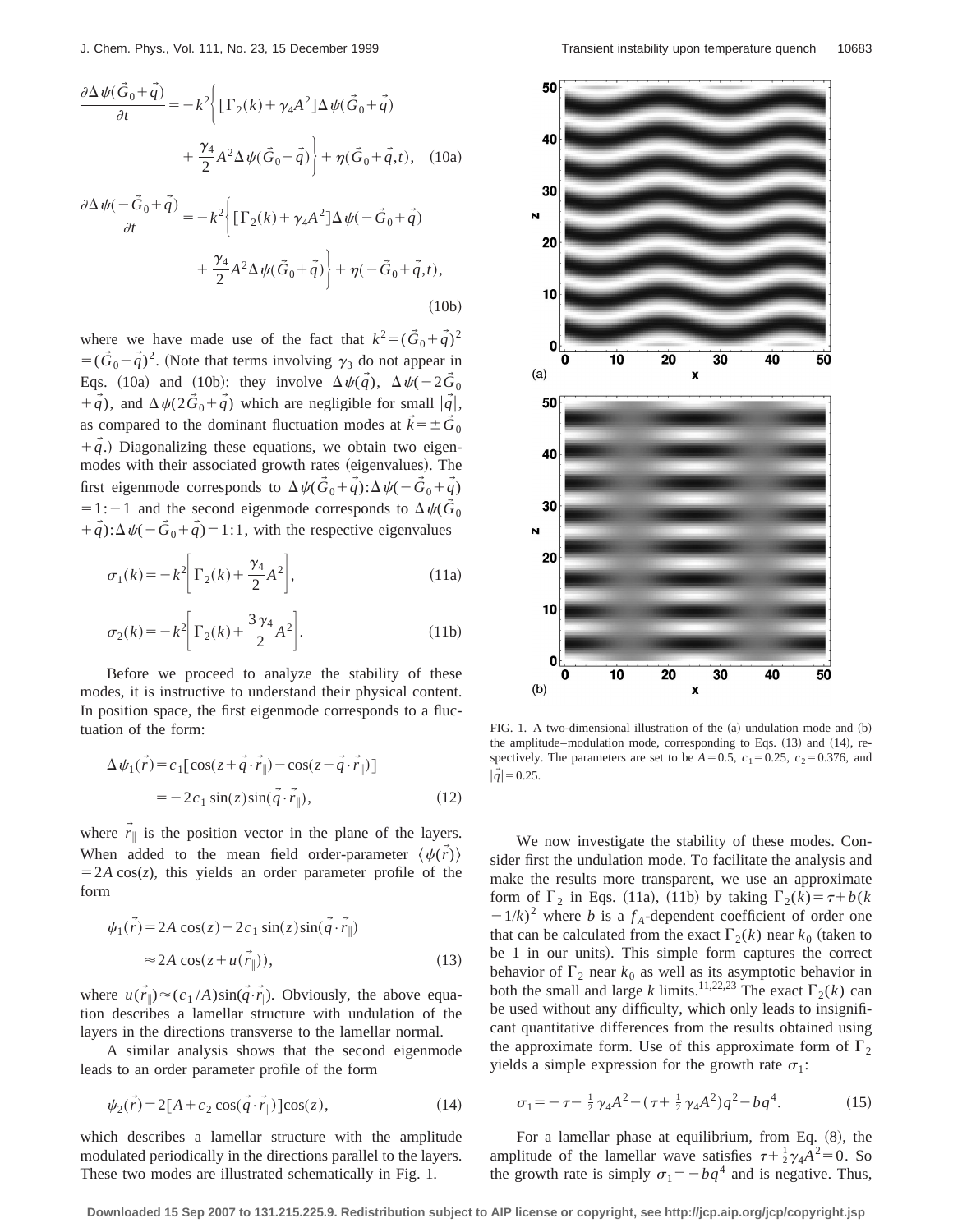$$
\frac{\partial \Delta \psi(\vec{G}_0 + \vec{q})}{\partial t} = -k^2 \left\{ \left[ \Gamma_2(k) + \gamma_4 A^2 \right] \Delta \psi(\vec{G}_0 + \vec{q}) + \frac{\gamma_4}{2} A^2 \Delta \psi(\vec{G}_0 - \vec{q}) \right\} + \eta(\vec{G}_0 + \vec{q}, t), \quad (10a)
$$

$$
\frac{\partial \Delta \psi(-\vec{G}_0 + \vec{q})}{\partial t} = -k^2 \left\{ \left[ \Gamma_2(k) + \gamma_4 A^2 \right] \Delta \psi(-\vec{G}_0 + \vec{q}) + \frac{\gamma_4}{2} A^2 \Delta \psi(\vec{G}_0 + \vec{q}) \right\} + \eta(-\vec{G}_0 + \vec{q}, t),
$$
\n(10b)

where we have made use of the fact that  $k^2 = (\vec{G}_0 + \vec{q})^2$  $=(\vec{G}_0 - \vec{q})^2$ . (Note that terms involving  $\gamma_3$  do not appear in Eqs. (10a) and (10b): they involve  $\Delta \psi(\vec{q})$ ,  $\Delta \psi(-2\vec{G}_0)$  $+\vec{q}$ , and  $\Delta \psi(2\vec{G}_0 + \vec{q})$  which are negligible for small  $|\vec{q}|$ , as compared to the dominant fluctuation modes at  $\vec{k} = \pm \vec{G}_0$  $+\vec{q}$ .) Diagonalizing these equations, we obtain two eigenmodes with their associated growth rates (eigenvalues). The first eigenmode corresponds to  $\Delta \psi(\vec{G}_0 + \vec{q}) : \Delta \psi(-\vec{G}_0 + \vec{q})$  $=1:-1$  and the second eigenmode corresponds to  $\Delta \psi(\vec{G}_0)$  $+\vec{q}$ ): $\Delta \psi$ ( $-\vec{G}_0 + \vec{q}$ )=1:1, with the respective eigenvalues

$$
\sigma_1(k) = -k^2 \bigg[ \Gamma_2(k) + \frac{\gamma_4}{2} A^2 \bigg],\tag{11a}
$$

$$
\sigma_2(k) = -k^2 \bigg[ \Gamma_2(k) + \frac{3\gamma_4}{2} A^2 \bigg].
$$
 (11b)

Before we proceed to analyze the stability of these modes, it is instructive to understand their physical content. In position space, the first eigenmode corresponds to a fluctuation of the form:

$$
\Delta \psi_1(\vec{r}) = c_1 [\cos(z + \vec{q} \cdot \vec{r}_{\parallel}) - \cos(z - \vec{q} \cdot \vec{r}_{\parallel})]
$$
  
= 
$$
-2c_1 \sin(z) \sin(\vec{q} \cdot \vec{r}_{\parallel}),
$$
 (12)

where  $\vec{r}_{\parallel}$  is the position vector in the plane of the layers. When added to the mean field order-parameter  $\langle \psi(\vec{r}) \rangle$  $=2A \cos(z)$ , this yields an order parameter profile of the form

$$
\psi_1(\vec{r}) = 2A \cos(z) - 2c_1 \sin(z) \sin(\vec{q} \cdot \vec{r}_{\parallel})
$$
  
\n
$$
\approx 2A \cos(z + u(\vec{r}_{\parallel})), \tag{13}
$$

where  $u(\vec{r}_{\parallel}) \approx (c_1/A)\sin(\vec{q}\cdot\vec{r}_{\parallel})$ . Obviously, the above equation describes a lamellar structure with undulation of the layers in the directions transverse to the lamellar normal.

A similar analysis shows that the second eigenmode leads to an order parameter profile of the form

$$
\psi_2(\vec{r}) = 2[A + c_2 \cos(\vec{q} \cdot \vec{r}_{\parallel})] \cos(z), \qquad (14)
$$

which describes a lamellar structure with the amplitude modulated periodically in the directions parallel to the layers. These two modes are illustrated schematically in Fig. 1.



FIG. 1. A two-dimensional illustration of the  $(a)$  undulation mode and  $(b)$ the amplitude–modulation mode, corresponding to Eqs.  $(13)$  and  $(14)$ , respectively. The parameters are set to be  $A=0.5$ ,  $c_1=0.25$ ,  $c_2=0.376$ , and  $|\tilde{q}| = 0.25.$ 

We now investigate the stability of these modes. Consider first the undulation mode. To facilitate the analysis and make the results more transparent, we use an approximate form of  $\Gamma_2$  in Eqs. (11a), (11b) by taking  $\Gamma_2(k) = \tau + b(k)$  $(1/k)^2$  where *b* is a  $f_A$ -dependent coefficient of order one that can be calculated from the exact  $\Gamma_2(k)$  near  $k_0$  (taken to be 1 in our units). This simple form captures the correct behavior of  $\Gamma_2$  near  $k_0$  as well as its asymptotic behavior in both the small and large *k* limits.<sup>11,22,23</sup> The exact  $\Gamma_2(k)$  can be used without any difficulty, which only leads to insignificant quantitative differences from the results obtained using the approximate form. Use of this approximate form of  $\Gamma_2$ yields a simple expression for the growth rate  $\sigma_1$ :

$$
\sigma_1 = -\tau - \frac{1}{2}\gamma_4 A^2 - (\tau + \frac{1}{2}\gamma_4 A^2)q^2 - bq^4.
$$
 (15)

For a lamellar phase at equilibrium, from Eq.  $(8)$ , the amplitude of the lamellar wave satisfies  $\tau + \frac{1}{2}\gamma_4 A^2 = 0$ . So the growth rate is simply  $\sigma_1 = -bq^4$  and is negative. Thus,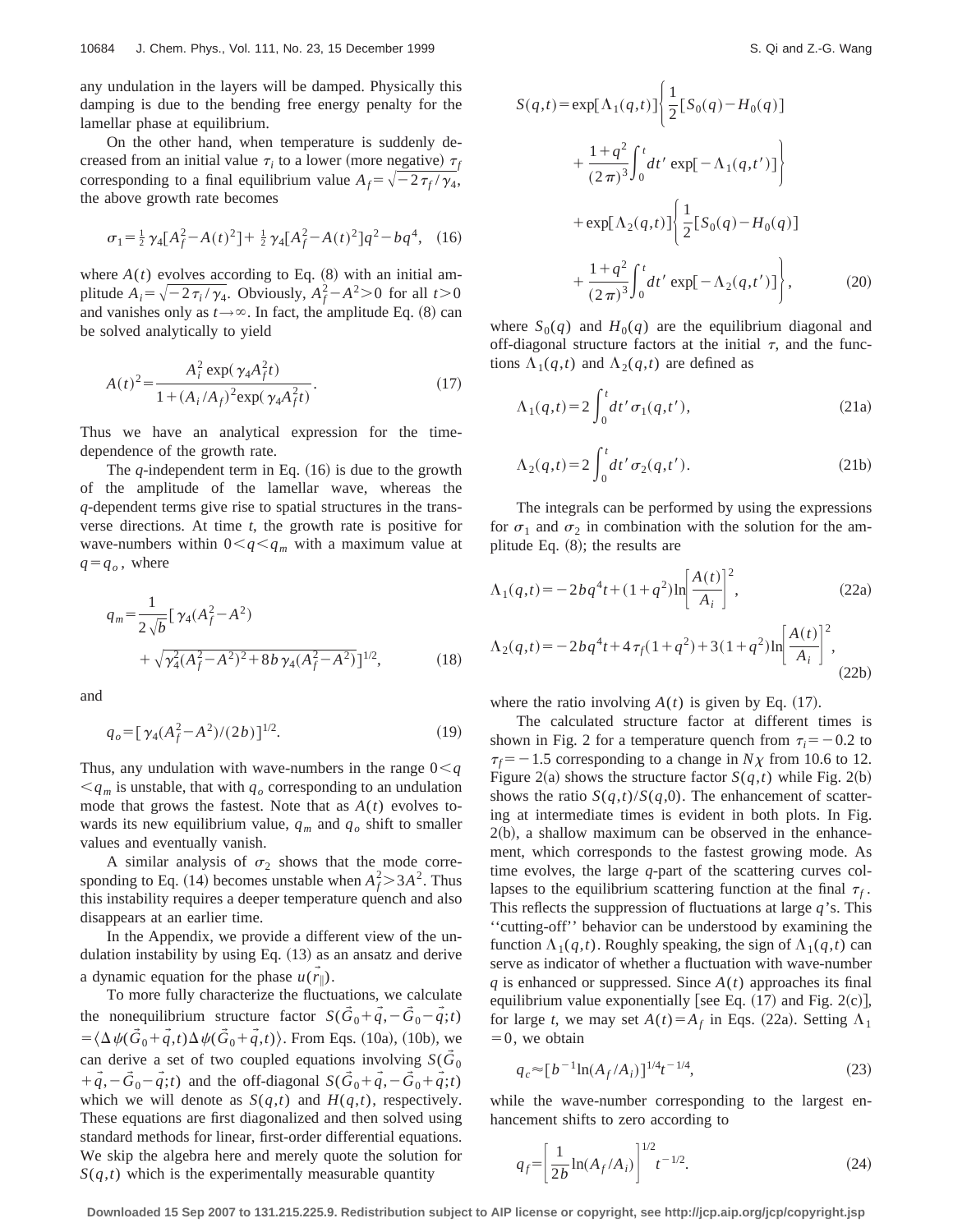any undulation in the layers will be damped. Physically this damping is due to the bending free energy penalty for the lamellar phase at equilibrium.

On the other hand, when temperature is suddenly decreased from an initial value  $\tau_i$  to a lower (more negative)  $\tau_f$ corresponding to a final equilibrium value  $A_f = \sqrt{-2\,\tau_f/\gamma_4}$ , the above growth rate becomes

$$
\sigma_1 = \frac{1}{2} \gamma_4 [A_f^2 - A(t)^2] + \frac{1}{2} \gamma_4 [A_f^2 - A(t)^2] q^2 - b q^4, \quad (16)
$$

where  $A(t)$  evolves according to Eq.  $(8)$  with an initial amplitude  $A_i = \sqrt{-2\tau_i/\gamma_4}$ . Obviously,  $A_f^2 - A^2 > 0$  for all  $t > 0$ and vanishes only as  $t \rightarrow \infty$ . In fact, the amplitude Eq. (8) can be solved analytically to yield

$$
A(t)^{2} = \frac{A_{i}^{2} \exp(\gamma_{4} A_{f}^{2} t)}{1 + (A_{i}/A_{f})^{2} \exp(\gamma_{4} A_{f}^{2} t)}.
$$
 (17)

Thus we have an analytical expression for the timedependence of the growth rate.

The  $q$ -independent term in Eq.  $(16)$  is due to the growth of the amplitude of the lamellar wave, whereas the *q*-dependent terms give rise to spatial structures in the transverse directions. At time *t*, the growth rate is positive for wave-numbers within  $0 \lt q \lt q_m$  with a maximum value at  $q = q_o$ , where

$$
q_m = \frac{1}{2\sqrt{b}} \left[ \gamma_4 (A_f^2 - A^2) + \sqrt{\gamma_4^2 (A_f^2 - A^2)^2 + 8b \gamma_4 (A_f^2 - A^2)} \right]^{1/2},
$$
(18)

and

$$
q_o = \left[ \gamma_4 (A_f^2 - A^2) / (2b) \right]^{1/2}.
$$
 (19)

Thus, any undulation with wave-numbers in the range  $0 < q$  $\leq q_m$  is unstable, that with  $q_o$  corresponding to an undulation mode that grows the fastest. Note that as *A*(*t*) evolves towards its new equilibrium value,  $q_m$  and  $q_o$  shift to smaller values and eventually vanish.

A similar analysis of  $\sigma_2$  shows that the mode corresponding to Eq. (14) becomes unstable when  $A_f^2 > 3A^2$ . Thus this instability requires a deeper temperature quench and also disappears at an earlier time.

In the Appendix, we provide a different view of the undulation instability by using Eq.  $(13)$  as an ansatz and derive a dynamic equation for the phase  $u(\vec{r}_{\parallel})$ .

To more fully characterize the fluctuations, we calculate the nonequilibrium structure factor  $S(\vec{G}_0 + \vec{q}, -\vec{G}_0 - \vec{q};t)$  $=$   $\langle \Delta \psi(\vec{G}_0 + \vec{q}, t) \Delta \psi(\vec{G}_0 + \vec{q}, t) \rangle$ . From Eqs. (10a), (10b), we can derive a set of two coupled equations involving  $S(\tilde{G}_0)$  $+\tilde{q}$ , $-\tilde{G}_0 - \tilde{q}$ ;*t*) and the off-diagonal  $S(\tilde{G}_0 + \tilde{q}, -\tilde{G}_0 + \tilde{q}$ ;*t*) which we will denote as  $S(q,t)$  and  $H(q,t)$ , respectively. These equations are first diagonalized and then solved using standard methods for linear, first-order differential equations. We skip the algebra here and merely quote the solution for  $S(q,t)$  which is the experimentally measurable quantity

$$
S(q,t) = \exp[\Lambda_1(q,t)] \left\{ \frac{1}{2} [S_0(q) - H_0(q)] + \frac{1+q^2}{(2\pi)^3} \int_0^t dt' \exp[-\Lambda_1(q,t')] \right\} + \exp[\Lambda_2(q,t)] \left\{ \frac{1}{2} [S_0(q) - H_0(q)] + \frac{1+q^2}{(2\pi)^3} \int_0^t dt' \exp[-\Lambda_2(q,t')] \right\},
$$
 (20)

where  $S_0(q)$  and  $H_0(q)$  are the equilibrium diagonal and off-diagonal structure factors at the initial  $\tau$ , and the functions  $\Lambda_1(q,t)$  and  $\Lambda_2(q,t)$  are defined as

$$
\Lambda_1(q,t) = 2 \int_0^t dt' \,\sigma_1(q,t'),\tag{21a}
$$

$$
\Lambda_2(q,t) = 2 \int_0^t dt' \sigma_2(q,t'). \tag{21b}
$$

The integrals can be performed by using the expressions for  $\sigma_1$  and  $\sigma_2$  in combination with the solution for the amplitude Eq.  $(8)$ ; the results are

$$
\Lambda_1(q,t) = -2bq^4t + (1+q^2)\ln\left[\frac{A(t)}{A_i}\right]^2,
$$
\n(22a)

$$
\Lambda_2(q,t) = -2bq^4t + 4\tau_f(1+q^2) + 3(1+q^2)\ln\left[\frac{A(t)}{A_i}\right]^2,
$$
\n(22b)

where the ratio involving  $A(t)$  is given by Eq. (17).

The calculated structure factor at different times is shown in Fig. 2 for a temperature quench from  $\tau_i = -0.2$  to  $\tau_f$ = -1.5 corresponding to a change in *N* $\chi$  from 10.6 to 12. Figure 2(a) shows the structure factor  $S(q,t)$  while Fig. 2(b) shows the ratio  $S(q,t)/S(q,0)$ . The enhancement of scattering at intermediate times is evident in both plots. In Fig.  $2(b)$ , a shallow maximum can be observed in the enhancement, which corresponds to the fastest growing mode. As time evolves, the large *q*-part of the scattering curves collapses to the equilibrium scattering function at the final  $\tau_f$ . This reflects the suppression of fluctuations at large *q*'s. This ''cutting-off'' behavior can be understood by examining the function  $\Lambda_1(q,t)$ . Roughly speaking, the sign of  $\Lambda_1(q,t)$  can serve as indicator of whether a fluctuation with wave-number  $q$  is enhanced or suppressed. Since  $A(t)$  approaches its final equilibrium value exponentially [see Eq.  $(17)$  and Fig. 2(c)], for large *t*, we may set  $A(t) = A_f$  in Eqs. (22a). Setting  $\Lambda_1$  $=0$ , we obtain

$$
q_c \approx [b^{-1} \ln(A_f/A_i)]^{1/4} t^{-1/4}, \tag{23}
$$

while the wave-number corresponding to the largest enhancement shifts to zero according to

$$
q_f = \left[\frac{1}{2b} \ln(A_f/A_i)\right]^{1/2} t^{-1/2}.
$$
 (24)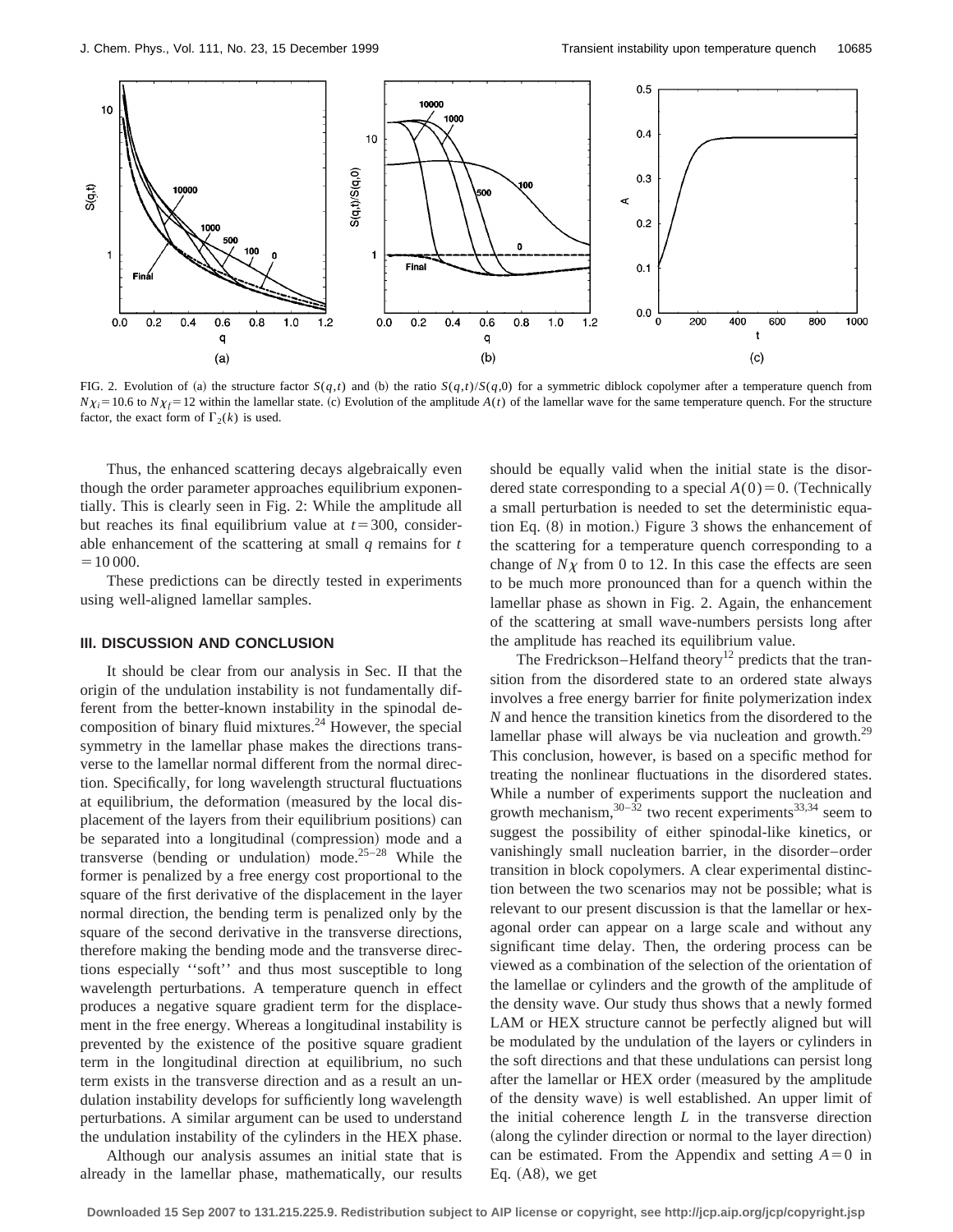

FIG. 2. Evolution of (a) the structure factor  $S(q,t)$  and (b) the ratio  $S(q,t)/S(q,0)$  for a symmetric diblock copolymer after a temperature quench from  $N\chi_i=10.6$  to  $N\chi_f=12$  within the lamellar state. (c) Evolution of the amplitude *A*(*t*) of the lamellar wave for the same temperature quench. For the structure factor, the exact form of  $\Gamma_2(k)$  is used.

Thus, the enhanced scattering decays algebraically even though the order parameter approaches equilibrium exponentially. This is clearly seen in Fig. 2: While the amplitude all but reaches its final equilibrium value at  $t=300$ , considerable enhancement of the scattering at small *q* remains for *t*  $=10000.$ 

These predictions can be directly tested in experiments using well-aligned lamellar samples.

#### **III. DISCUSSION AND CONCLUSION**

It should be clear from our analysis in Sec. II that the origin of the undulation instability is not fundamentally different from the better-known instability in the spinodal decomposition of binary fluid mixtures. $24$  However, the special symmetry in the lamellar phase makes the directions transverse to the lamellar normal different from the normal direction. Specifically, for long wavelength structural fluctuations at equilibrium, the deformation (measured by the local displacement of the layers from their equilibrium positions) can be separated into a longitudinal (compression) mode and a transverse (bending or undulation) mode.<sup>25–28</sup> While the former is penalized by a free energy cost proportional to the square of the first derivative of the displacement in the layer normal direction, the bending term is penalized only by the square of the second derivative in the transverse directions, therefore making the bending mode and the transverse directions especially ''soft'' and thus most susceptible to long wavelength perturbations. A temperature quench in effect produces a negative square gradient term for the displacement in the free energy. Whereas a longitudinal instability is prevented by the existence of the positive square gradient term in the longitudinal direction at equilibrium, no such term exists in the transverse direction and as a result an undulation instability develops for sufficiently long wavelength perturbations. A similar argument can be used to understand the undulation instability of the cylinders in the HEX phase.

Although our analysis assumes an initial state that is already in the lamellar phase, mathematically, our results should be equally valid when the initial state is the disordered state corresponding to a special  $A(0)=0$ . (Technically a small perturbation is needed to set the deterministic equation Eq.  $(8)$  in motion.) Figure 3 shows the enhancement of the scattering for a temperature quench corresponding to a change of  $N\chi$  from 0 to 12. In this case the effects are seen to be much more pronounced than for a quench within the lamellar phase as shown in Fig. 2. Again, the enhancement of the scattering at small wave-numbers persists long after the amplitude has reached its equilibrium value.

The Fredrickson–Helfand theory<sup>12</sup> predicts that the transition from the disordered state to an ordered state always involves a free energy barrier for finite polymerization index *N* and hence the transition kinetics from the disordered to the lamellar phase will always be via nucleation and growth.<sup>29</sup> This conclusion, however, is based on a specific method for treating the nonlinear fluctuations in the disordered states. While a number of experiments support the nucleation and growth mechanism,  $30-\overline{32}$  two recent experiments  $33,34$  seem to suggest the possibility of either spinodal-like kinetics, or vanishingly small nucleation barrier, in the disorder–order transition in block copolymers. A clear experimental distinction between the two scenarios may not be possible; what is relevant to our present discussion is that the lamellar or hexagonal order can appear on a large scale and without any significant time delay. Then, the ordering process can be viewed as a combination of the selection of the orientation of the lamellae or cylinders and the growth of the amplitude of the density wave. Our study thus shows that a newly formed LAM or HEX structure cannot be perfectly aligned but will be modulated by the undulation of the layers or cylinders in the soft directions and that these undulations can persist long after the lamellar or HEX order (measured by the amplitude of the density wave) is well established. An upper limit of the initial coherence length *L* in the transverse direction (along the cylinder direction or normal to the layer direction) can be estimated. From the Appendix and setting  $A=0$  in Eq.  $(A8)$ , we get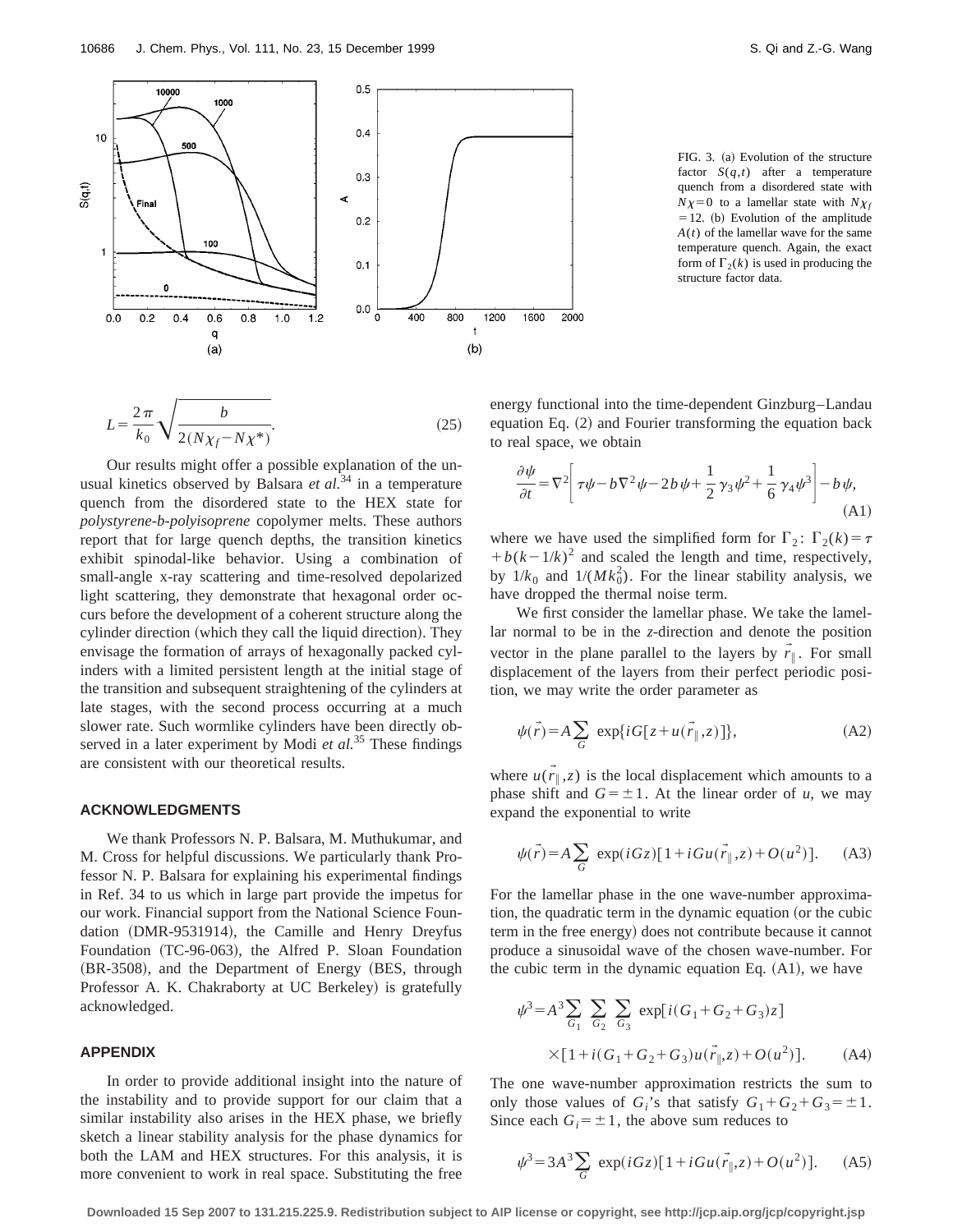

$$
L = \frac{2\pi}{k_0} \sqrt{\frac{b}{2(N\chi_f - N\chi^*)}}.
$$
 (25)

Our results might offer a possible explanation of the unusual kinetics observed by Balsara *et al.*<sup>34</sup> in a temperature quench from the disordered state to the HEX state for *polystyrene-b-polyisoprene* copolymer melts. These authors report that for large quench depths, the transition kinetics exhibit spinodal-like behavior. Using a combination of small-angle x-ray scattering and time-resolved depolarized light scattering, they demonstrate that hexagonal order occurs before the development of a coherent structure along the cylinder direction (which they call the liquid direction). They envisage the formation of arrays of hexagonally packed cylinders with a limited persistent length at the initial stage of the transition and subsequent straightening of the cylinders at late stages, with the second process occurring at a much slower rate. Such wormlike cylinders have been directly observed in a later experiment by Modi *et al.*<sup>35</sup> These findings are consistent with our theoretical results.

#### **ACKNOWLEDGMENTS**

We thank Professors N. P. Balsara, M. Muthukumar, and M. Cross for helpful discussions. We particularly thank Professor N. P. Balsara for explaining his experimental findings in Ref. 34 to us which in large part provide the impetus for our work. Financial support from the National Science Foundation (DMR-9531914), the Camille and Henry Dreyfus Foundation (TC-96-063), the Alfred P. Sloan Foundation  $(BR-3508)$ , and the Department of Energy  $(BES, through$ Professor A. K. Chakraborty at UC Berkeley) is gratefully acknowledged.

## **APPENDIX**

In order to provide additional insight into the nature of the instability and to provide support for our claim that a similar instability also arises in the HEX phase, we briefly sketch a linear stability analysis for the phase dynamics for both the LAM and HEX structures. For this analysis, it is more convenient to work in real space. Substituting the free

FIG. 3. (a) Evolution of the structure factor  $S(q,t)$  after a temperature quench from a disordered state with  $N\chi=0$  to a lamellar state with  $N\chi_f$  $=12.$  (b) Evolution of the amplitude *A*(*t*) of the lamellar wave for the same temperature quench. Again, the exact form of  $\Gamma_2(k)$  is used in producing the structure factor data.

energy functional into the time-dependent Ginzburg–Landau equation Eq.  $(2)$  and Fourier transforming the equation back to real space, we obtain

$$
\frac{\partial \psi}{\partial t} = \nabla^2 \left[ \tau \psi - b \nabla^2 \psi - 2b \psi + \frac{1}{2} \gamma_3 \psi^2 + \frac{1}{6} \gamma_4 \psi^3 \right] - b \psi,
$$
\n(A1)

where we have used the simplified form for  $\Gamma_2$ :  $\Gamma_2(k) = \tau$  $+(b(k-1/k)^2)$  and scaled the length and time, respectively, by  $1/k_0$  and  $1/(Mk_0^2)$ . For the linear stability analysis, we have dropped the thermal noise term.

We first consider the lamellar phase. We take the lamellar normal to be in the *z*-direction and denote the position vector in the plane parallel to the layers by  $\vec{r}_{\parallel}$ . For small displacement of the layers from their perfect periodic position, we may write the order parameter as

$$
\psi(\vec{r}) = A \sum_{G} \exp\{iG[z + u(\vec{r}_{\parallel}, z)]\},\tag{A2}
$$

where  $\vec{u}(\vec{r}_{\parallel},z)$  is the local displacement which amounts to a phase shift and  $G = \pm 1$ . At the linear order of *u*, we may expand the exponential to write

$$
\psi(\vec{r}) = A \sum_{G} \exp(iGz) [1 + iGu(\vec{r}_{\parallel}, z) + O(u^2)]. \tag{A3}
$$

For the lamellar phase in the one wave-number approximation, the quadratic term in the dynamic equation (or the cubic term in the free energy) does not contribute because it cannot produce a sinusoidal wave of the chosen wave-number. For the cubic term in the dynamic equation Eq.  $(A1)$ , we have

$$
\psi^3 = A^3 \sum_{G_1} \sum_{G_2} \sum_{G_3} \exp[i(G_1 + G_2 + G_3)z]
$$
  
×[1+i(G\_1 + G\_2 + G\_3)u(\vec{r}\_{\parallel}, z) + O(u^2)]. (A4)

The one wave-number approximation restricts the sum to only those values of  $G_i$ 's that satisfy  $G_1 + G_2 + G_3 = \pm 1$ . Since each  $G_i = \pm 1$ , the above sum reduces to

$$
\psi^3 = 3A^3 \sum_G \exp(iGz)[1 + iGu(\vec{r}_{\parallel}, z) + O(u^2)]. \tag{A5}
$$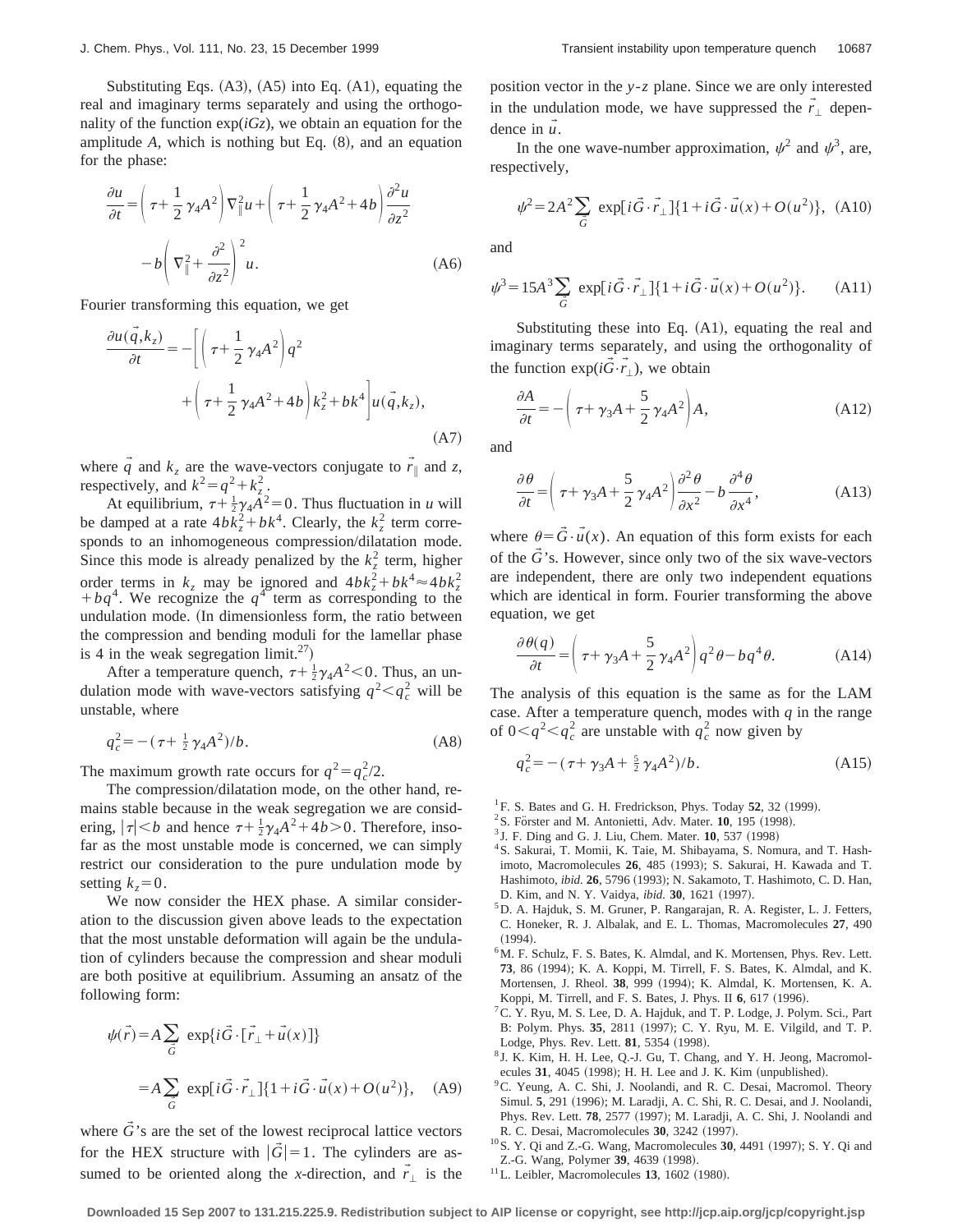Substituting Eqs.  $(A3)$ ,  $(A5)$  into Eq.  $(A1)$ , equating the real and imaginary terms separately and using the orthogonality of the function  $exp(iGz)$ , we obtain an equation for the amplitude  $A$ , which is nothing but Eq.  $(8)$ , and an equation for the phase:

$$
\frac{\partial u}{\partial t} = \left(\tau + \frac{1}{2}\gamma_4 A^2\right) \nabla_{\parallel}^2 u + \left(\tau + \frac{1}{2}\gamma_4 A^2 + 4b\right) \frac{\partial^2 u}{\partial z^2} \n- b \left(\nabla_{\parallel}^2 + \frac{\partial^2}{\partial z^2}\right)^2 u.
$$
\n(A6)

Fourier transforming this equation, we get

$$
\frac{\partial u(\vec{q},k_z)}{\partial t} = -\left[ \left( \tau + \frac{1}{2} \gamma_4 A^2 \right) q^2 + \left( \tau + \frac{1}{2} \gamma_4 A^2 + 4b \right) k_z^2 + bk^4 \right] u(\vec{q},k_z),
$$
\n(A7)

where  $\vec{q}$  and  $k_z$  are the wave-vectors conjugate to  $\vec{r}$  and *z*, respectively, and  $k^2 = q^2 + k_z^2$ .

At equilibrium,  $\tau + \frac{1}{2}\gamma_4 \tilde{A}^2 = 0$ . Thus fluctuation in *u* will be damped at a rate  $4bk_z^2 + bk^4$ . Clearly, the  $k_z^2$  term corresponds to an inhomogeneous compression/dilatation mode. Since this mode is already penalized by the  $k_z^2$  term, higher order terms in  $k_z$  may be ignored and  $4bk_z^2 + bk^4 \approx 4bk_z^2$  $+ bq^{4}$ . We recognize the  $q^{4}$  term as corresponding to the undulation mode. (In dimensionless form, the ratio between the compression and bending moduli for the lamellar phase is 4 in the weak segregation limit.<sup>27</sup>)

After a temperature quench,  $\tau + \frac{1}{2}\gamma_4 A^2$  < 0. Thus, an undulation mode with wave-vectors satisfying  $q^2 < q_c^2$  will be unstable, where

$$
q_c^2 = -(\tau + \frac{1}{2}\gamma_4 A^2)/b. \tag{A8}
$$

The maximum growth rate occurs for  $q^2 = q_c^2/2$ .

The compression/dilatation mode, on the other hand, remains stable because in the weak segregation we are considering,  $|\tau| < b$  and hence  $\tau + \frac{1}{2}\gamma_4 A^2 + 4b > 0$ . Therefore, insofar as the most unstable mode is concerned, we can simply restrict our consideration to the pure undulation mode by setting  $k_z=0$ .

We now consider the HEX phase. A similar consideration to the discussion given above leads to the expectation that the most unstable deformation will again be the undulation of cylinders because the compression and shear moduli are both positive at equilibrium. Assuming an ansatz of the following form:

$$
\psi(\vec{r}) = A \sum_{\vec{G}} \exp\{i\vec{G} \cdot [\vec{r}_{\perp} + \vec{u}(x)]\}
$$

$$
= A \sum_{\vec{G}} \exp[i\vec{G} \cdot \vec{r}_{\perp}] \{1 + i\vec{G} \cdot \vec{u}(x) + O(u^2)\}, \quad (A9)
$$

where  $\vec{G}$ 's are the set of the lowest reciprocal lattice vectors for the HEX structure with  $|\tilde{G}|=1$ . The cylinders are assumed to be oriented along the *x*-direction, and  $\vec{r}_\perp$  is the position vector in the *y*-*z* plane. Since we are only interested in the undulation mode, we have suppressed the  $\vec{r}_\perp$  dependence in  $\vec{u}$ .

In the one wave-number approximation,  $\psi^2$  and  $\psi^3$ , are, respectively,

$$
\psi^2 = 2A^2 \sum_{\vec{G}} \exp[i\vec{G}\cdot\vec{r}_\perp]\{1 + i\vec{G}\cdot\vec{u}(x) + O(u^2)\}, \text{ (A10)}
$$

and

$$
\psi^3 = 15A^3 \sum_{\vec{G}} \exp[i\vec{G} \cdot \vec{r}_\perp] \{1 + i\vec{G} \cdot \vec{u}(x) + O(u^2)\}.
$$
 (A11)

Substituting these into Eq.  $(A1)$ , equating the real and imaginary terms separately, and using the orthogonality of the function  $\exp(i\vec{G}\cdot\vec{r}_\perp)$ , we obtain

$$
\frac{\partial A}{\partial t} = -\left(\tau + \gamma_3 A + \frac{5}{2}\gamma_4 A^2\right) A,\tag{A12}
$$

and

$$
\frac{\partial \theta}{\partial t} = \left(\tau + \gamma_3 A + \frac{5}{2}\gamma_4 A^2\right) \frac{\partial^2 \theta}{\partial x^2} - b \frac{\partial^4 \theta}{\partial x^4},\tag{A13}
$$

where  $\theta = \vec{G} \cdot \vec{u}(x)$ . An equation of this form exists for each of the  $\tilde{G}$ 's. However, since only two of the six wave-vectors are independent, there are only two independent equations which are identical in form. Fourier transforming the above equation, we get

$$
\frac{\partial \theta(q)}{\partial t} = \left(\tau + \gamma_3 A + \frac{5}{2}\gamma_4 A^2\right) q^2 \theta - b q^4 \theta. \tag{A14}
$$

The analysis of this equation is the same as for the LAM case. After a temperature quench, modes with *q* in the range of  $0 < q^2 < q_c^2$  are unstable with  $q_c^2$  now given by

$$
q_c^2 = -\left(\tau + \gamma_3 A + \frac{5}{2}\gamma_4 A^2\right)/b. \tag{A15}
$$

- ${}^{1}$  F. S. Bates and G. H. Fredrickson, Phys. Today 52, 32 (1999).
- $2$ S. Förster and M. Antonietti, Adv. Mater. **10**, 195 (1998).
- <sup>3</sup> J. F. Ding and G. J. Liu, Chem. Mater. **10**, 537 (1998)
- <sup>4</sup>S. Sakurai, T. Momii, K. Taie, M. Shibayama, S. Nomura, and T. Hashimoto, Macromolecules 26, 485 (1993); S. Sakurai, H. Kawada and T. Hashimoto, *ibid.* 26, 5796 (1993); N. Sakamoto, T. Hashimoto, C. D. Han, D. Kim, and N. Y. Vaidya, *ibid.* **30**, 1621 (1997).
- <sup>5</sup>D. A. Hajduk, S. M. Gruner, P. Rangarajan, R. A. Register, L. J. Fetters, C. Honeker, R. J. Albalak, and E. L. Thomas, Macromolecules **27**, 490  $(1994).$
- $6$ M. F. Schulz, F. S. Bates, K. Almdal, and K. Mortensen, Phys. Rev. Lett. 73, 86 (1994); K. A. Koppi, M. Tirrell, F. S. Bates, K. Almdal, and K. Mortensen, J. Rheol. 38, 999 (1994); K. Almdal, K. Mortensen, K. A. Koppi, M. Tirrell, and F. S. Bates, J. Phys. II 6, 617 (1996).
- <sup>7</sup> C. Y. Ryu, M. S. Lee, D. A. Hajduk, and T. P. Lodge, J. Polym. Sci., Part B: Polym. Phys. 35, 2811 (1997); C. Y. Ryu, M. E. Vilgild, and T. P. Lodge, Phys. Rev. Lett. **81**, 5354 (1998).
- <sup>8</sup> J. K. Kim, H. H. Lee, Q.-J. Gu, T. Chang, and Y. H. Jeong, Macromolecules 31, 4045 (1998); H. H. Lee and J. K. Kim (unpublished).
- <sup>9</sup>C. Yeung, A. C. Shi, J. Noolandi, and R. C. Desai, Macromol. Theory Simul. 5, 291 (1996); M. Laradji, A. C. Shi, R. C. Desai, and J. Noolandi, Phys. Rev. Lett. **78**, 2577 (1997); M. Laradji, A. C. Shi, J. Noolandi and R. C. Desai, Macromolecules 30, 3242 (1997).
- <sup>10</sup> S. Y. Qi and Z.-G. Wang, Macromolecules **30**, 4491 (1997); S. Y. Qi and Z.-G. Wang, Polymer 39, 4639 (1998).
- $11$ L. Leibler, Macromolecules **13**, 1602 (1980).